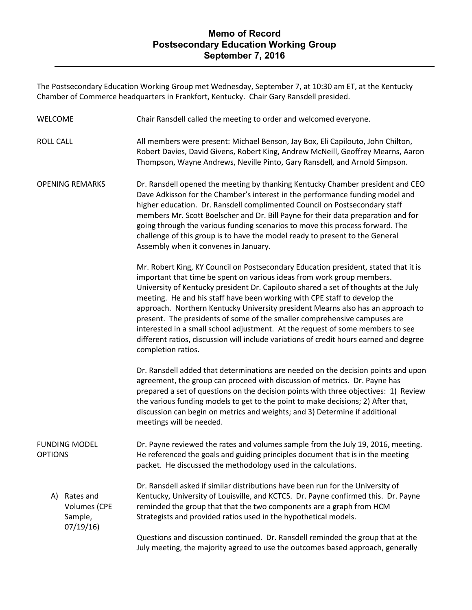## **Memo of Record Postsecondary Education Working Group September 7, 2016**

The Postsecondary Education Working Group met Wednesday, September 7, at 10:30 am ET, at the Kentucky Chamber of Commerce headquarters in Frankfort, Kentucky. Chair Gary Ransdell presided.

| <b>WELCOME</b>                                                | Chair Ransdell called the meeting to order and welcomed everyone.                                                                                                                                                                                                                                                                                                                                                                                                                                                                                                                                                                                                                                   |
|---------------------------------------------------------------|-----------------------------------------------------------------------------------------------------------------------------------------------------------------------------------------------------------------------------------------------------------------------------------------------------------------------------------------------------------------------------------------------------------------------------------------------------------------------------------------------------------------------------------------------------------------------------------------------------------------------------------------------------------------------------------------------------|
| <b>ROLL CALL</b>                                              | All members were present: Michael Benson, Jay Box, Eli Capilouto, John Chilton,<br>Robert Davies, David Givens, Robert King, Andrew McNeill, Geoffrey Mearns, Aaron<br>Thompson, Wayne Andrews, Neville Pinto, Gary Ransdell, and Arnold Simpson.                                                                                                                                                                                                                                                                                                                                                                                                                                                   |
| <b>OPENING REMARKS</b>                                        | Dr. Ransdell opened the meeting by thanking Kentucky Chamber president and CEO<br>Dave Adkisson for the Chamber's interest in the performance funding model and<br>higher education. Dr. Ransdell complimented Council on Postsecondary staff<br>members Mr. Scott Boelscher and Dr. Bill Payne for their data preparation and for<br>going through the various funding scenarios to move this process forward. The<br>challenge of this group is to have the model ready to present to the General<br>Assembly when it convenes in January.                                                                                                                                                        |
|                                                               | Mr. Robert King, KY Council on Postsecondary Education president, stated that it is<br>important that time be spent on various ideas from work group members.<br>University of Kentucky president Dr. Capilouto shared a set of thoughts at the July<br>meeting. He and his staff have been working with CPE staff to develop the<br>approach. Northern Kentucky University president Mearns also has an approach to<br>present. The presidents of some of the smaller comprehensive campuses are<br>interested in a small school adjustment. At the request of some members to see<br>different ratios, discussion will include variations of credit hours earned and degree<br>completion ratios. |
|                                                               | Dr. Ransdell added that determinations are needed on the decision points and upon<br>agreement, the group can proceed with discussion of metrics. Dr. Payne has<br>prepared a set of questions on the decision points with three objectives: 1) Review<br>the various funding models to get to the point to make decisions; 2) After that,<br>discussion can begin on metrics and weights; and 3) Determine if additional<br>meetings will be needed.                                                                                                                                                                                                                                               |
| <b>FUNDING MODEL</b><br><b>OPTIONS</b>                        | Dr. Payne reviewed the rates and volumes sample from the July 19, 2016, meeting.<br>He referenced the goals and guiding principles document that is in the meeting<br>packet. He discussed the methodology used in the calculations.                                                                                                                                                                                                                                                                                                                                                                                                                                                                |
| Rates and<br>A)<br><b>Volumes (CPE</b><br>Sample,<br>07/19/16 | Dr. Ransdell asked if similar distributions have been run for the University of<br>Kentucky, University of Louisville, and KCTCS. Dr. Payne confirmed this. Dr. Payne<br>reminded the group that that the two components are a graph from HCM<br>Strategists and provided ratios used in the hypothetical models.                                                                                                                                                                                                                                                                                                                                                                                   |
|                                                               | Questions and discussion continued. Dr. Ransdell reminded the group that at the<br>July meeting, the majority agreed to use the outcomes based approach, generally                                                                                                                                                                                                                                                                                                                                                                                                                                                                                                                                  |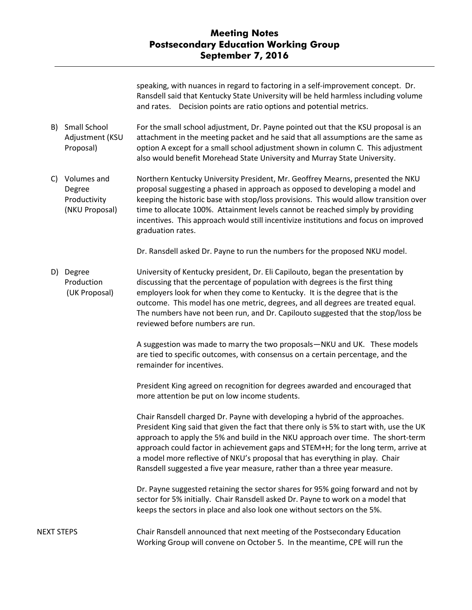speaking, with nuances in regard to factoring in a self-improvement concept. Dr. Ransdell said that Kentucky State University will be held harmless including volume and rates. Decision points are ratio options and potential metrics.

- B) Small School Adjustment (KSU Proposal) For the small school adjustment, Dr. Payne pointed out that the KSU proposal is an attachment in the meeting packet and he said that all assumptions are the same as option A except for a small school adjustment shown in column C. This adjustment also would benefit Morehead State University and Murray State University.
- C) Volumes and Degree Productivity (NKU Proposal) Northern Kentucky University President, Mr. Geoffrey Mearns, presented the NKU proposal suggesting a phased in approach as opposed to developing a model and keeping the historic base with stop/loss provisions. This would allow transition over time to allocate 100%. Attainment levels cannot be reached simply by providing incentives. This approach would still incentivize institutions and focus on improved graduation rates.

Dr. Ransdell asked Dr. Payne to run the numbers for the proposed NKU model.

D) Degree Production (UK Proposal) University of Kentucky president, Dr. Eli Capilouto, began the presentation by discussing that the percentage of population with degrees is the first thing employers look for when they come to Kentucky. It is the degree that is the outcome. This model has one metric, degrees, and all degrees are treated equal. The numbers have not been run, and Dr. Capilouto suggested that the stop/loss be reviewed before numbers are run.

> A suggestion was made to marry the two proposals—NKU and UK. These models are tied to specific outcomes, with consensus on a certain percentage, and the remainder for incentives.

President King agreed on recognition for degrees awarded and encouraged that more attention be put on low income students.

Chair Ransdell charged Dr. Payne with developing a hybrid of the approaches. President King said that given the fact that there only is 5% to start with, use the UK approach to apply the 5% and build in the NKU approach over time. The short-term approach could factor in achievement gaps and STEM+H; for the long term, arrive at a model more reflective of NKU's proposal that has everything in play. Chair Ransdell suggested a five year measure, rather than a three year measure.

Dr. Payne suggested retaining the sector shares for 95% going forward and not by sector for 5% initially. Chair Ransdell asked Dr. Payne to work on a model that keeps the sectors in place and also look one without sectors on the 5%.

NEXT STEPS Chair Ransdell announced that next meeting of the Postsecondary Education Working Group will convene on October 5. In the meantime, CPE will run the